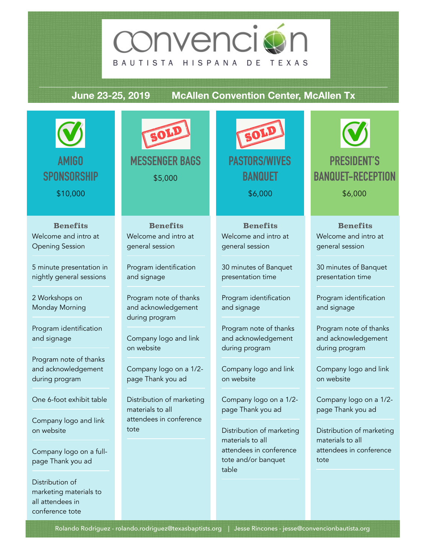

### **June 23-25, 2019 McAllen Convention Center, McAllen Tx**

| <b>AMIGO</b><br><b>SPONSORSHIP</b><br>\$10,000                                   | SOLI<br><b>MESSENGER BAGS</b><br>\$5,000                   | SOLI<br><b>PASTORS/WIVES</b><br><b>BANQUET</b><br>\$6,000       | <b>PRESIDENT'S</b><br><b>BANQUET-RECEPTION</b><br>\$6,000       |
|----------------------------------------------------------------------------------|------------------------------------------------------------|-----------------------------------------------------------------|-----------------------------------------------------------------|
| <b>Benefits</b><br>Welcome and intro at<br><b>Opening Session</b>                | <b>Benefits</b><br>Welcome and intro at<br>general session | <b>Benefits</b><br>Welcome and intro at<br>general session      | <b>Benefits</b><br>Welcome and intro at<br>general session      |
| 5 minute presentation in<br>nightly general sessions                             | Program identification<br>and signage                      | 30 minutes of Banquet<br>presentation time                      | 30 minutes of Banquet<br>presentation time                      |
| 2 Workshops on<br>Monday Morning                                                 | Program note of thanks<br>and acknowledgement              | Program identification<br>and signage                           | Program identification<br>and signage                           |
| Program identification<br>and signage                                            | during program<br>Company logo and link<br>on website      | Program note of thanks<br>and acknowledgement<br>during program | Program note of thanks<br>and acknowledgement<br>during program |
| Program note of thanks<br>and acknowledgement<br>during program                  | Company logo on a 1/2-<br>page Thank you ad                | Company logo and link<br>on website                             | Company logo and link<br>on website                             |
| One 6-foot exhibit table                                                         | Distribution of marketing<br>materials to all              | Company logo on a 1/2-<br>page Thank you ad                     | Company logo on a 1/2-<br>page Thank you ad                     |
| Company logo and link<br>on website                                              | attendees in conference<br>tote                            | Distribution of marketing<br>materials to all                   | Distribution of marketing<br>materials to all                   |
| Company logo on a full-<br>page Thank you ad                                     |                                                            | attendees in conference<br>tote and/or banquet<br>table         | attendees in conference<br>tote                                 |
| Distribution of<br>marketing materials to<br>all attendees in<br>conference tote |                                                            |                                                                 |                                                                 |